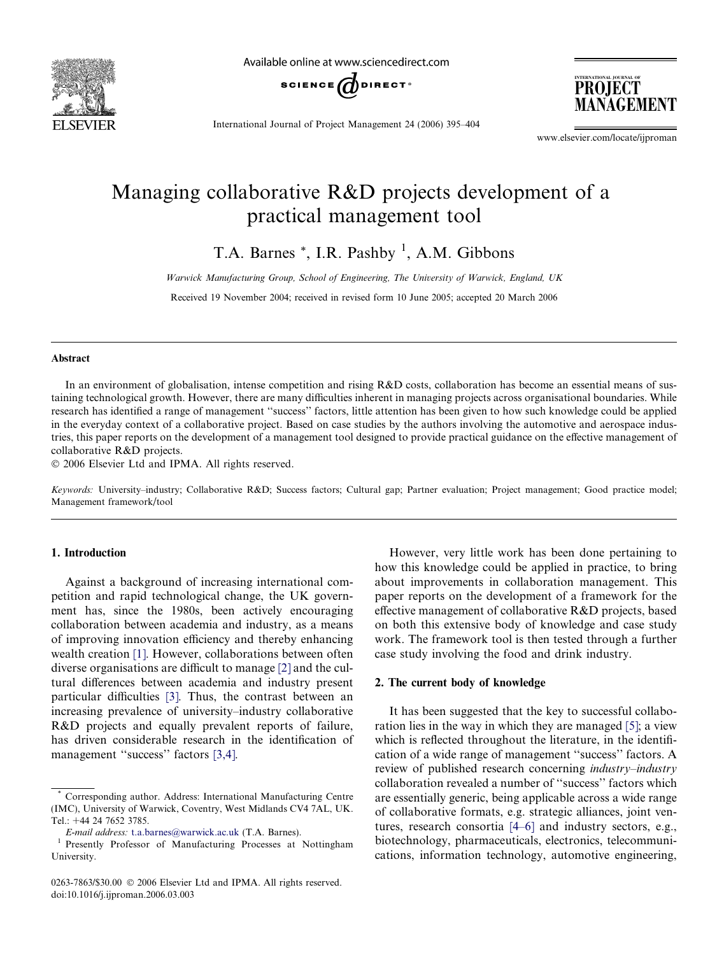

Available online at www.sciencedirect.com





International Journal of Project Management 24 (2006) 395–404

www.elsevier.com/locate/ijproman

# Managing collaborative R&D projects development of a practical management tool

T.A. Barnes \*, I.R. Pashby <sup>1</sup>, A.M. Gibbons

Warwick Manufacturing Group, School of Engineering, The University of Warwick, England, UK

Received 19 November 2004; received in revised form 10 June 2005; accepted 20 March 2006

#### Abstract

In an environment of globalisation, intense competition and rising R&D costs, collaboration has become an essential means of sustaining technological growth. However, there are many difficulties inherent in managing projects across organisational boundaries. While research has identified a range of management ''success'' factors, little attention has been given to how such knowledge could be applied in the everyday context of a collaborative project. Based on case studies by the authors involving the automotive and aerospace industries, this paper reports on the development of a management tool designed to provide practical guidance on the effective management of collaborative R&D projects.

© 2006 Elsevier Ltd and IPMA. All rights reserved.

Keywords: University–industry; Collaborative R&D; Success factors; Cultural gap; Partner evaluation; Project management; Good practice model; Management framework/tool

## 1. Introduction

Against a background of increasing international competition and rapid technological change, the UK government has, since the 1980s, been actively encouraging collaboration between academia and industry, as a means of improving innovation efficiency and thereby enhancing wealth creation [\[1\]](#page--1-0). However, collaborations between often diverse organisations are difficult to manage [\[2\]](#page--1-0) and the cultural differences between academia and industry present particular difficulties [\[3\]](#page--1-0). Thus, the contrast between an increasing prevalence of university–industry collaborative R&D projects and equally prevalent reports of failure, has driven considerable research in the identification of management "success" factors [\[3,4\]](#page--1-0).

However, very little work has been done pertaining to how this knowledge could be applied in practice, to bring about improvements in collaboration management. This paper reports on the development of a framework for the effective management of collaborative R&D projects, based on both this extensive body of knowledge and case study work. The framework tool is then tested through a further case study involving the food and drink industry.

### 2. The current body of knowledge

It has been suggested that the key to successful collaboration lies in the way in which they are managed [\[5\]](#page--1-0); a view which is reflected throughout the literature, in the identification of a wide range of management ''success'' factors. A review of published research concerning industry–industry collaboration revealed a number of ''success'' factors which are essentially generic, being applicable across a wide range of collaborative formats, e.g. strategic alliances, joint ventures, research consortia [\[4–6\]](#page--1-0) and industry sectors, e.g., biotechnology, pharmaceuticals, electronics, telecommunications, information technology, automotive engineering,

Corresponding author. Address: International Manufacturing Centre (IMC), University of Warwick, Coventry, West Midlands CV4 7AL, UK. Tel.: +44 24 7652 3785.

E-mail address: [t.a.barnes@warwick.ac.uk](mailto:t.a.barnes@warwick.ac.uk) (T.A. Barnes).<br>Presently Professor of Manufacturing Processes at Nottingham University.

<sup>0263-7863/\$30.00 © 2006</sup> Elsevier Ltd and IPMA. All rights reserved. doi:10.1016/j.ijproman.2006.03.003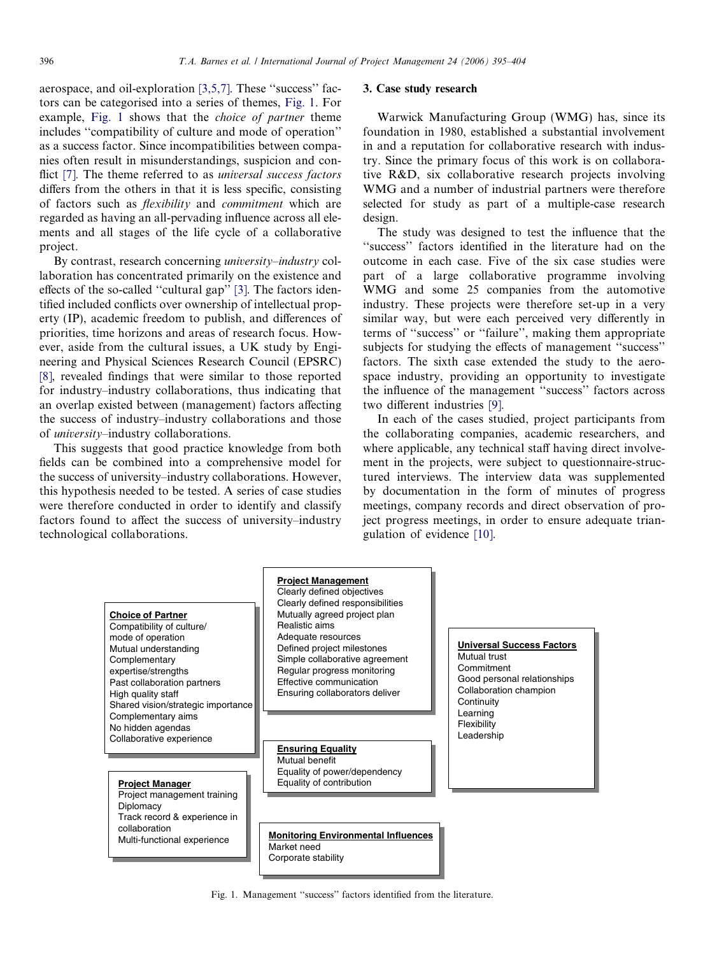aerospace, and oil-exploration [\[3,5,7\].](#page--1-0) These ''success'' factors can be categorised into a series of themes, Fig. 1. For example, Fig. 1 shows that the choice of partner theme includes ''compatibility of culture and mode of operation'' as a success factor. Since incompatibilities between companies often result in misunderstandings, suspicion and con-flict [\[7\].](#page--1-0) The theme referred to as *universal success factors* differs from the others in that it is less specific, consisting of factors such as flexibility and commitment which are regarded as having an all-pervading influence across all elements and all stages of the life cycle of a collaborative project.

By contrast, research concerning *university–industry* collaboration has concentrated primarily on the existence and effects of the so-called ''cultural gap'' [\[3\]](#page--1-0). The factors identified included conflicts over ownership of intellectual property (IP), academic freedom to publish, and differences of priorities, time horizons and areas of research focus. However, aside from the cultural issues, a UK study by Engineering and Physical Sciences Research Council (EPSRC) [\[8\]](#page--1-0), revealed findings that were similar to those reported for industry–industry collaborations, thus indicating that an overlap existed between (management) factors affecting the success of industry–industry collaborations and those of university–industry collaborations.

This suggests that good practice knowledge from both fields can be combined into a comprehensive model for the success of university–industry collaborations. However, this hypothesis needed to be tested. A series of case studies were therefore conducted in order to identify and classify factors found to affect the success of university–industry technological collaborations.

### 3. Case study research

Warwick Manufacturing Group (WMG) has, since its foundation in 1980, established a substantial involvement in and a reputation for collaborative research with industry. Since the primary focus of this work is on collaborative R&D, six collaborative research projects involving WMG and a number of industrial partners were therefore selected for study as part of a multiple-case research design.

The study was designed to test the influence that the ''success'' factors identified in the literature had on the outcome in each case. Five of the six case studies were part of a large collaborative programme involving WMG and some 25 companies from the automotive industry. These projects were therefore set-up in a very similar way, but were each perceived very differently in terms of ''success'' or ''failure'', making them appropriate subjects for studying the effects of management ''success'' factors. The sixth case extended the study to the aerospace industry, providing an opportunity to investigate the influence of the management ''success'' factors across two different industries [\[9\]](#page--1-0).

In each of the cases studied, project participants from the collaborating companies, academic researchers, and where applicable, any technical staff having direct involvement in the projects, were subject to questionnaire-structured interviews. The interview data was supplemented by documentation in the form of minutes of progress meetings, company records and direct observation of project progress meetings, in order to ensure adequate triangulation of evidence [\[10\]](#page--1-0).

#### **Choice of Partner**

Compatibility of culture/ mode of operation Mutual understanding **Complementary** expertise/strengths Past collaboration partners High quality staff Shared vision/strategic importance Complementary aims No hidden agendas Collaborative experience



**Project Management** Clearly defined objectives Clearly defined responsibilities Mutually agreed project plan Realistic aims Adequate resources Defined project milestones Simple collaborative agreement Regular progress monitoring Effective communication Ensuring collaborators deliver

# **Ensuring Equality**

Mutual benefit Equality of power/dependency Equality of contribution

**Monitoring Environmental Influences** Market need Corporate stability

#### **Universal Success Factors** Mutual trust Commitment Good personal relationships Collaboration champion **Continuity** Learning **Flexibility** Leadership